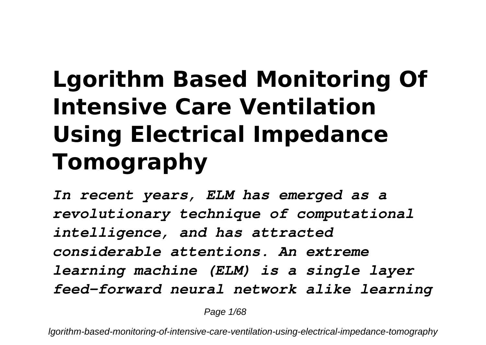## **Lgorithm Based Monitoring Of Intensive Care Ventilation Using Electrical Impedance Tomography**

*In recent years, ELM has emerged as a revolutionary technique of computational intelligence, and has attracted considerable attentions. An extreme learning machine (ELM) is a single layer feed-forward neural network alike learning*

Page 1/68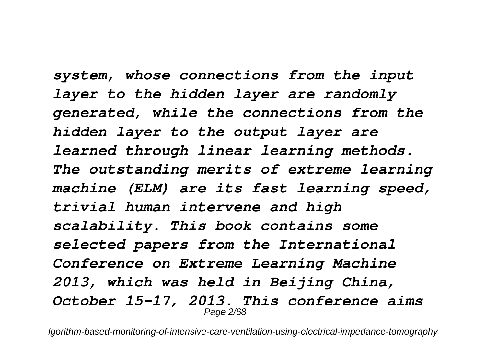*system, whose connections from the input layer to the hidden layer are randomly generated, while the connections from the hidden layer to the output layer are learned through linear learning methods. The outstanding merits of extreme learning machine (ELM) are its fast learning speed, trivial human intervene and high scalability. This book contains some selected papers from the International Conference on Extreme Learning Machine 2013, which was held in Beijing China, October 15-17, 2013. This conference aims* Page 2/68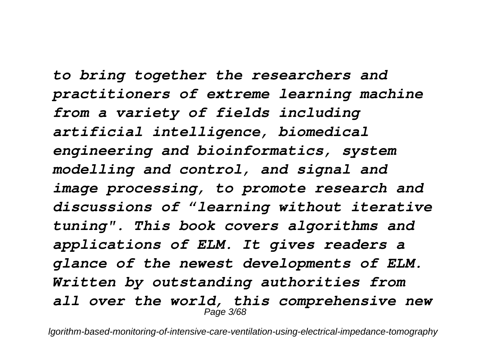*to bring together the researchers and practitioners of extreme learning machine from a variety of fields including artificial intelligence, biomedical engineering and bioinformatics, system modelling and control, and signal and image processing, to promote research and discussions of "learning without iterative tuning". This book covers algorithms and applications of ELM. It gives readers a glance of the newest developments of ELM. Written by outstanding authorities from all over the world, this comprehensive new* Page 3/68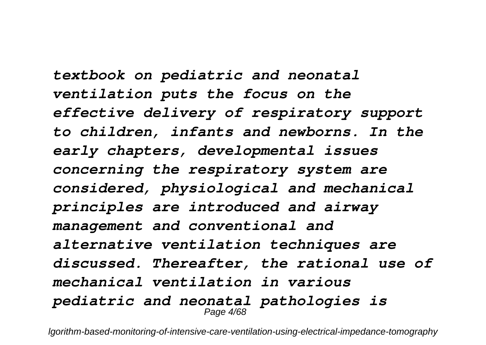*textbook on pediatric and neonatal ventilation puts the focus on the effective delivery of respiratory support to children, infants and newborns. In the early chapters, developmental issues concerning the respiratory system are considered, physiological and mechanical principles are introduced and airway management and conventional and alternative ventilation techniques are discussed. Thereafter, the rational use of mechanical ventilation in various pediatric and neonatal pathologies is* Page 4/68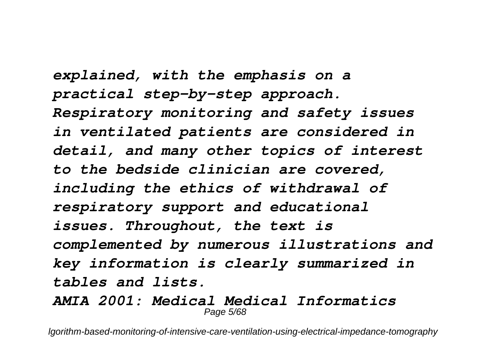*explained, with the emphasis on a practical step-by-step approach. Respiratory monitoring and safety issues in ventilated patients are considered in detail, and many other topics of interest to the bedside clinician are covered, including the ethics of withdrawal of respiratory support and educational issues. Throughout, the text is complemented by numerous illustrations and key information is clearly summarized in tables and lists. AMIA 2001: Medical Medical Informatics*

Page 5/68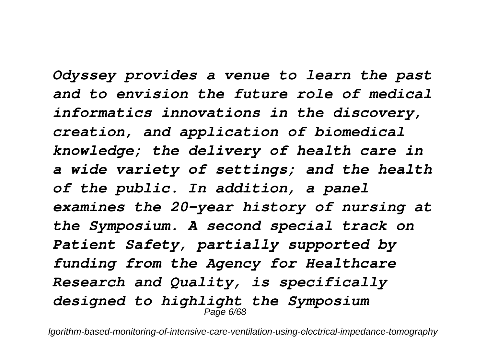*Odyssey provides a venue to learn the past and to envision the future role of medical informatics innovations in the discovery, creation, and application of biomedical knowledge; the delivery of health care in a wide variety of settings; and the health of the public. In addition, a panel examines the 20-year history of nursing at the Symposium. A second special track on Patient Safety, partially supported by funding from the Agency for Healthcare Research and Quality, is specifically designed to highlight the Symposium* Page 6/68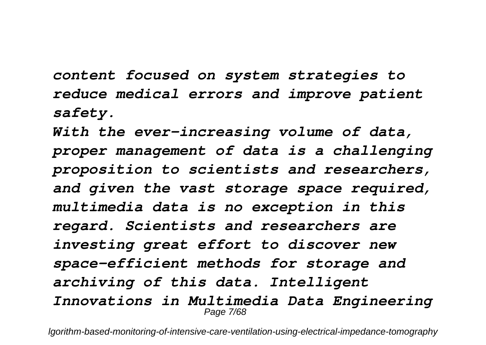*content focused on system strategies to reduce medical errors and improve patient safety.*

*With the ever-increasing volume of data, proper management of data is a challenging proposition to scientists and researchers, and given the vast storage space required, multimedia data is no exception in this regard. Scientists and researchers are investing great effort to discover new space-efficient methods for storage and archiving of this data. Intelligent Innovations in Multimedia Data Engineering* Page 7/68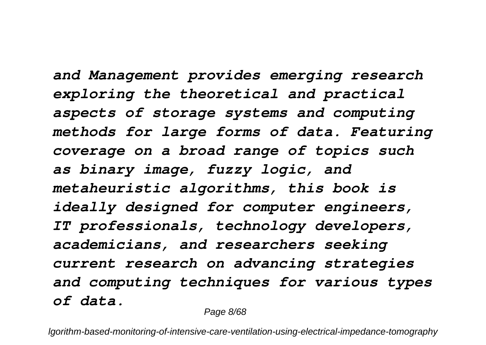*and Management provides emerging research exploring the theoretical and practical aspects of storage systems and computing methods for large forms of data. Featuring coverage on a broad range of topics such as binary image, fuzzy logic, and metaheuristic algorithms, this book is ideally designed for computer engineers, IT professionals, technology developers, academicians, and researchers seeking current research on advancing strategies and computing techniques for various types of data.*

Page 8/68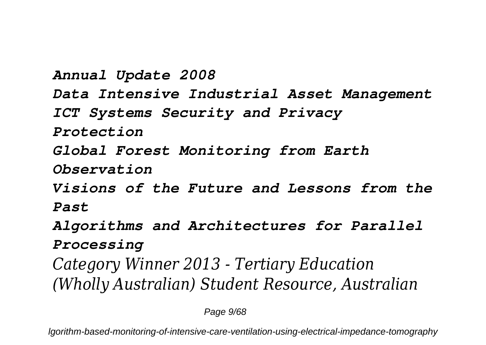*Annual Update 2008 Data Intensive Industrial Asset Management ICT Systems Security and Privacy Protection Global Forest Monitoring from Earth Observation Visions of the Future and Lessons from the Past Algorithms and Architectures for Parallel Processing Category Winner 2013 - Tertiary Education (Wholly Australian) Student Resource, Australian*

Page 9/68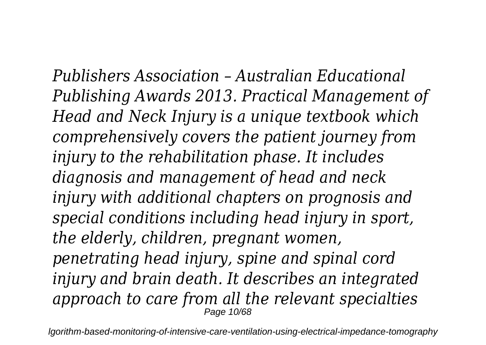*Publishers Association – Australian Educational Publishing Awards 2013. Practical Management of Head and Neck Injury is a unique textbook which comprehensively covers the patient journey from injury to the rehabilitation phase. It includes diagnosis and management of head and neck injury with additional chapters on prognosis and special conditions including head injury in sport, the elderly, children, pregnant women, penetrating head injury, spine and spinal cord injury and brain death. It describes an integrated approach to care from all the relevant specialties* Page 10/68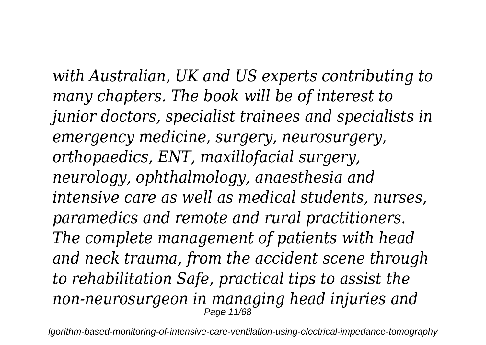*with Australian, UK and US experts contributing to many chapters. The book will be of interest to junior doctors, specialist trainees and specialists in emergency medicine, surgery, neurosurgery, orthopaedics, ENT, maxillofacial surgery, neurology, ophthalmology, anaesthesia and intensive care as well as medical students, nurses, paramedics and remote and rural practitioners. The complete management of patients with head and neck trauma, from the accident scene through to rehabilitation Safe, practical tips to assist the non-neurosurgeon in managing head injuries and* Page 11/68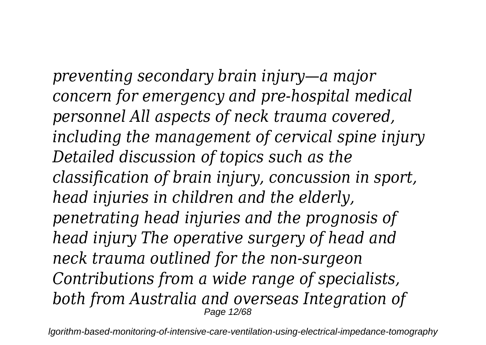*preventing secondary brain injury—a major concern for emergency and pre-hospital medical personnel All aspects of neck trauma covered, including the management of cervical spine injury Detailed discussion of topics such as the classification of brain injury, concussion in sport, head injuries in children and the elderly, penetrating head injuries and the prognosis of head injury The operative surgery of head and neck trauma outlined for the non-surgeon Contributions from a wide range of specialists, both from Australia and overseas Integration of* Page 12/68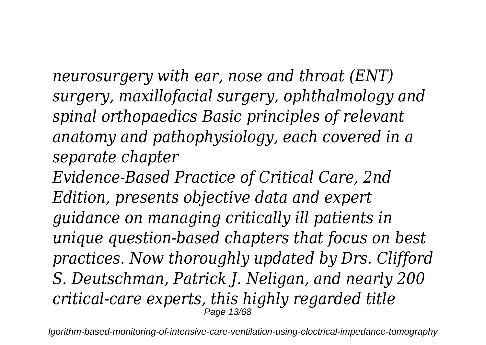*neurosurgery with ear, nose and throat (ENT) surgery, maxillofacial surgery, ophthalmology and spinal orthopaedics Basic principles of relevant anatomy and pathophysiology, each covered in a separate chapter*

*Evidence-Based Practice of Critical Care, 2nd Edition, presents objective data and expert guidance on managing critically ill patients in unique question-based chapters that focus on best practices. Now thoroughly updated by Drs. Clifford S. Deutschman, Patrick J. Neligan, and nearly 200 critical-care experts, this highly regarded title* **Page 13/68**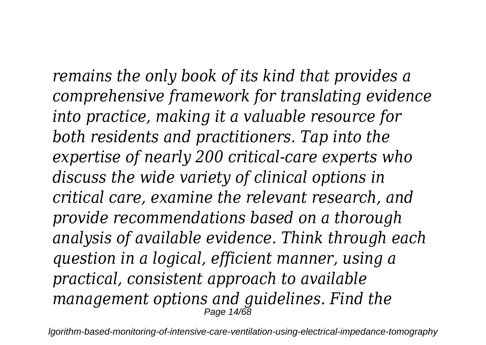*remains the only book of its kind that provides a comprehensive framework for translating evidence into practice, making it a valuable resource for both residents and practitioners. Tap into the expertise of nearly 200 critical-care experts who discuss the wide variety of clinical options in critical care, examine the relevant research, and provide recommendations based on a thorough analysis of available evidence. Think through each question in a logical, efficient manner, using a practical, consistent approach to available management options and guidelines. Find the*  $P$ age 14/68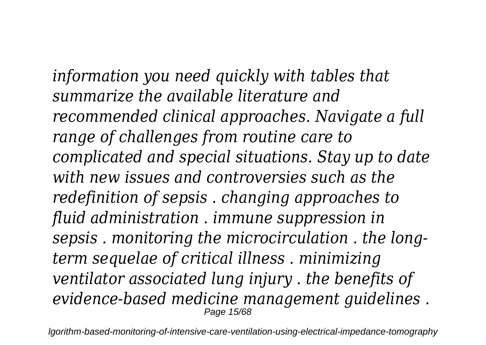*information you need quickly with tables that summarize the available literature and recommended clinical approaches. Navigate a full range of challenges from routine care to complicated and special situations. Stay up to date with new issues and controversies such as the redefinition of sepsis . changing approaches to fluid administration . immune suppression in sepsis . monitoring the microcirculation . the longterm sequelae of critical illness . minimizing ventilator associated lung injury . the benefits of evidence-based medicine management guidelines .* Page 15/68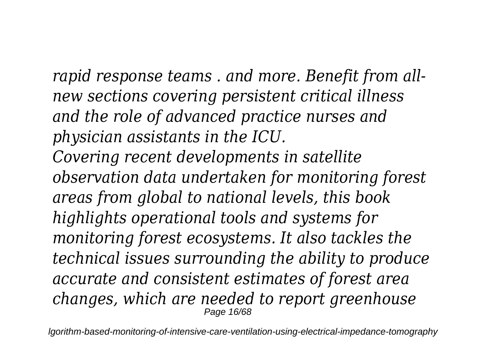*rapid response teams . and more. Benefit from allnew sections covering persistent critical illness and the role of advanced practice nurses and physician assistants in the ICU. Covering recent developments in satellite observation data undertaken for monitoring forest areas from global to national levels, this book highlights operational tools and systems for monitoring forest ecosystems. It also tackles the technical issues surrounding the ability to produce accurate and consistent estimates of forest area changes, which are needed to report greenhouse* Page 16/68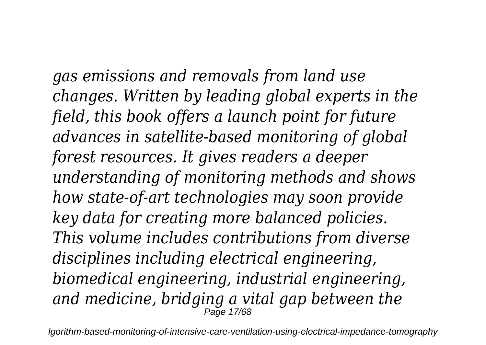*gas emissions and removals from land use changes. Written by leading global experts in the field, this book offers a launch point for future advances in satellite-based monitoring of global forest resources. It gives readers a deeper understanding of monitoring methods and shows how state-of-art technologies may soon provide key data for creating more balanced policies. This volume includes contributions from diverse disciplines including electrical engineering, biomedical engineering, industrial engineering, and medicine, bridging a vital gap between the* Page 17/68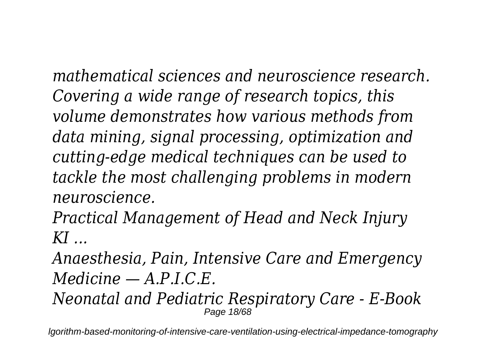*mathematical sciences and neuroscience research. Covering a wide range of research topics, this volume demonstrates how various methods from data mining, signal processing, optimization and cutting-edge medical techniques can be used to tackle the most challenging problems in modern neuroscience.*

*Practical Management of Head and Neck Injury KI ...*

*Anaesthesia, Pain, Intensive Care and Emergency Medicine — A.P.I.C.E.*

*Neonatal and Pediatric Respiratory Care - E-Book* Page 18/68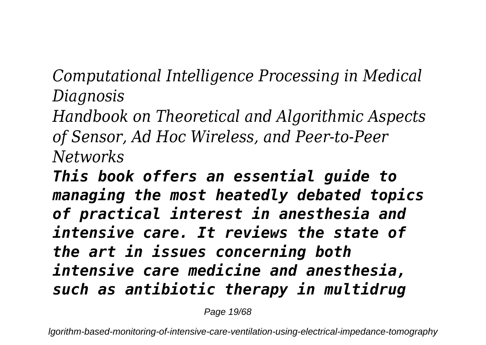*Computational Intelligence Processing in Medical Diagnosis*

*Handbook on Theoretical and Algorithmic Aspects of Sensor, Ad Hoc Wireless, and Peer-to-Peer Networks*

*This book offers an essential guide to managing the most heatedly debated topics of practical interest in anesthesia and intensive care. It reviews the state of the art in issues concerning both intensive care medicine and anesthesia, such as antibiotic therapy in multidrug*

Page 19/68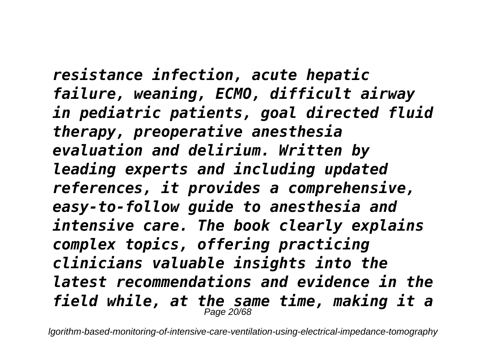*resistance infection, acute hepatic failure, weaning, ECMO, difficult airway in pediatric patients, goal directed fluid therapy, preoperative anesthesia evaluation and delirium. Written by leading experts and including updated references, it provides a comprehensive, easy-to-follow guide to anesthesia and intensive care. The book clearly explains complex topics, offering practicing clinicians valuable insights into the latest recommendations and evidence in the field while, at the same time, making it a* Page 20/68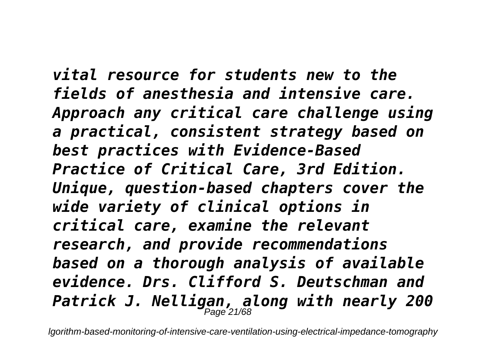*vital resource for students new to the fields of anesthesia and intensive care. Approach any critical care challenge using a practical, consistent strategy based on best practices with Evidence-Based Practice of Critical Care, 3rd Edition. Unique, question-based chapters cover the wide variety of clinical options in critical care, examine the relevant research, and provide recommendations based on a thorough analysis of available evidence. Drs. Clifford S. Deutschman and Patrick J. Nelligan, along with nearly 200* Page 21/68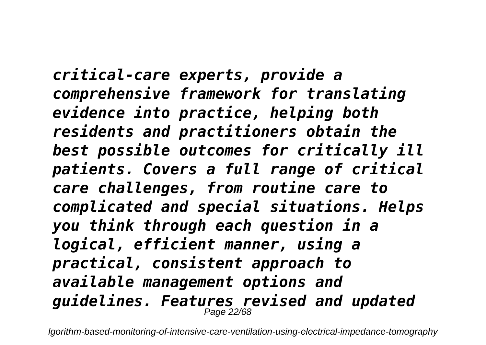*critical-care experts, provide a comprehensive framework for translating evidence into practice, helping both residents and practitioners obtain the best possible outcomes for critically ill patients. Covers a full range of critical care challenges, from routine care to complicated and special situations. Helps you think through each question in a logical, efficient manner, using a practical, consistent approach to available management options and guidelines. Features revised and updated* Page 22/6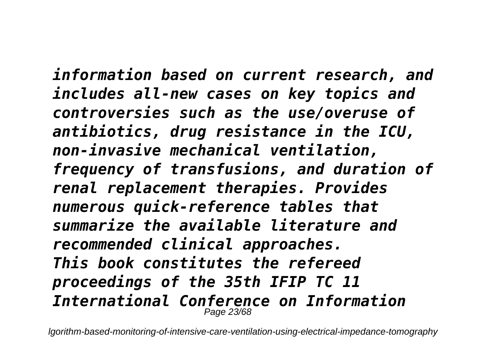*information based on current research, and includes all-new cases on key topics and controversies such as the use/overuse of antibiotics, drug resistance in the ICU, non-invasive mechanical ventilation, frequency of transfusions, and duration of renal replacement therapies. Provides numerous quick-reference tables that summarize the available literature and recommended clinical approaches. This book constitutes the refereed proceedings of the 35th IFIP TC 11 International Conference on Information* Page 23/68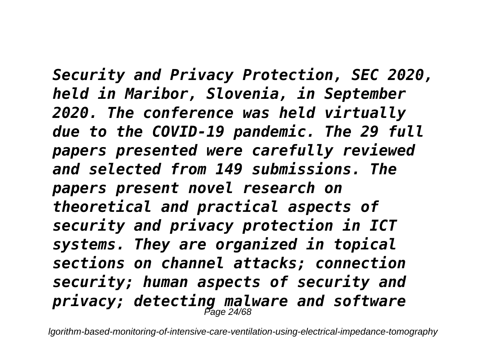*Security and Privacy Protection, SEC 2020, held in Maribor, Slovenia, in September 2020. The conference was held virtually due to the COVID-19 pandemic. The 29 full papers presented were carefully reviewed and selected from 149 submissions. The papers present novel research on theoretical and practical aspects of security and privacy protection in ICT systems. They are organized in topical sections on channel attacks; connection security; human aspects of security and privacy; detecting malware and software* Page 24/68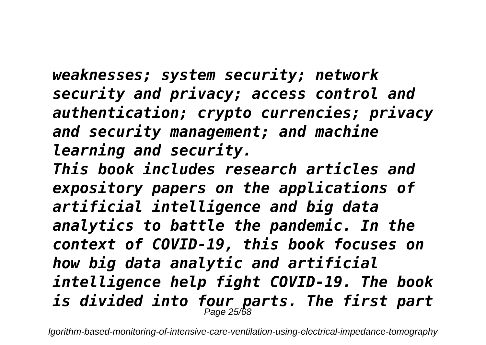*weaknesses; system security; network security and privacy; access control and authentication; crypto currencies; privacy and security management; and machine learning and security.*

*This book includes research articles and expository papers on the applications of artificial intelligence and big data analytics to battle the pandemic. In the context of COVID-19, this book focuses on how big data analytic and artificial intelligence help fight COVID-19. The book is divided into four parts. The first part* Page 25/68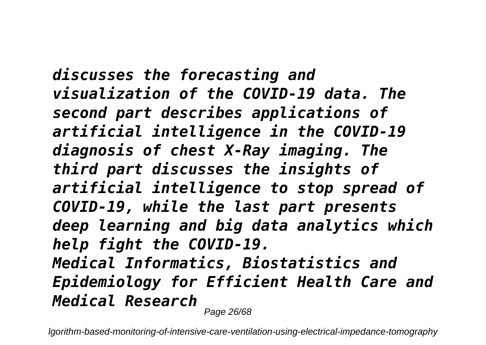*discusses the forecasting and visualization of the COVID-19 data. The second part describes applications of artificial intelligence in the COVID-19 diagnosis of chest X-Ray imaging. The third part discusses the insights of artificial intelligence to stop spread of COVID-19, while the last part presents deep learning and big data analytics which help fight the COVID-19. Medical Informatics, Biostatistics and Epidemiology for Efficient Health Care and Medical Research* Page 26/68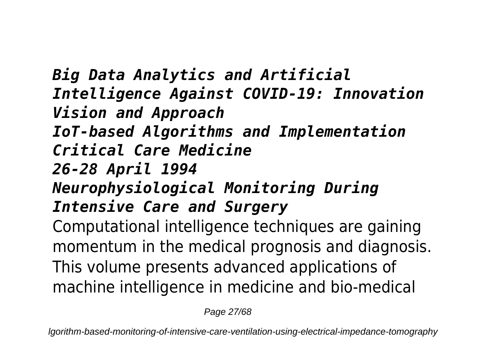*Big Data Analytics and Artificial Intelligence Against COVID-19: Innovation Vision and Approach IoT-based Algorithms and Implementation Critical Care Medicine 26-28 April 1994 Neurophysiological Monitoring During Intensive Care and Surgery* Computational intelligence techniques are gaining momentum in the medical prognosis and diagnosis. This volume presents advanced applications of machine intelligence in medicine and bio-medical

Page 27/68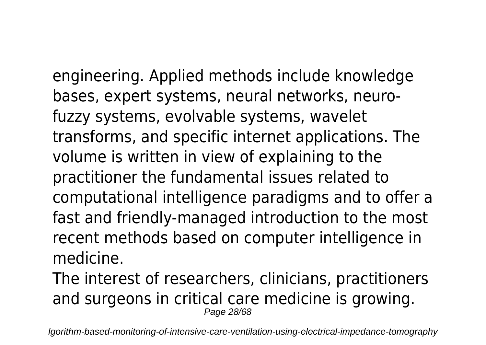engineering. Applied methods include knowledge bases, expert systems, neural networks, neurofuzzy systems, evolvable systems, wavelet transforms, and specific internet applications. The volume is written in view of explaining to the practitioner the fundamental issues related to computational intelligence paradigms and to offer a fast and friendly-managed introduction to the most recent methods based on computer intelligence in medicine.

The interest of researchers, clinicians, practitioners and surgeons in critical care medicine is growing. Page 28/68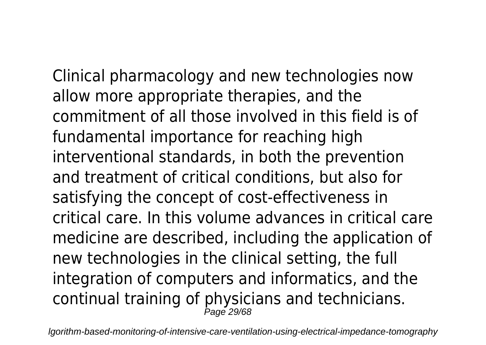Clinical pharmacology and new technologies now allow more appropriate therapies, and the commitment of all those involved in this field is of fundamental importance for reaching high interventional standards, in both the prevention and treatment of critical conditions, but also for satisfying the concept of cost-effectiveness in critical care. In this volume advances in critical care medicine are described, including the application of new technologies in the clinical setting, the full integration of computers and informatics, and the continual training of physicians and technicians. Page 29/68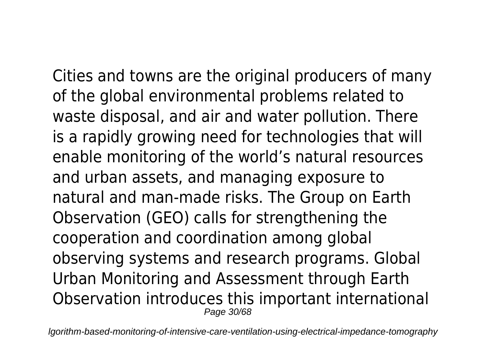Cities and towns are the original producers of many of the global environmental problems related to waste disposal, and air and water pollution. There is a rapidly growing need for technologies that will enable monitoring of the world's natural resources and urban assets, and managing exposure to natural and man-made risks. The Group on Earth Observation (GEO) calls for strengthening the cooperation and coordination among global observing systems and research programs. Global Urban Monitoring and Assessment through Earth Observation introduces this important international Page 30/68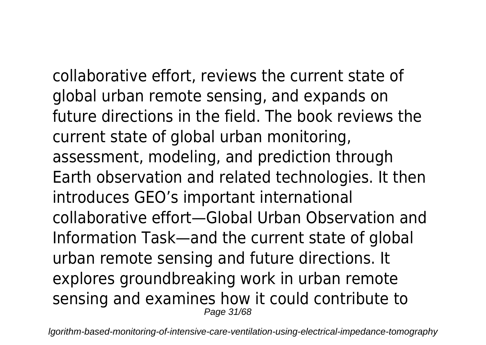collaborative effort, reviews the current state of global urban remote sensing, and expands on future directions in the field. The book reviews the current state of global urban monitoring, assessment, modeling, and prediction through Earth observation and related technologies. It then introduces GEO's important international collaborative effort—Global Urban Observation and Information Task—and the current state of global urban remote sensing and future directions. It explores groundbreaking work in urban remote sensing and examines how it could contribute to Page 31/68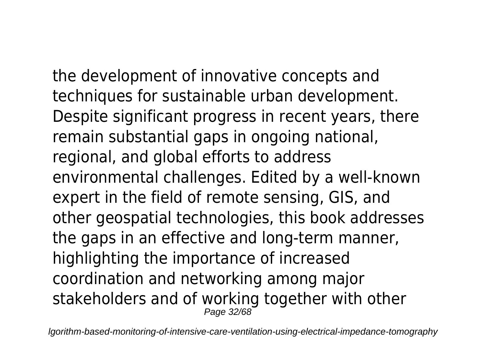the development of innovative concepts and techniques for sustainable urban development. Despite significant progress in recent years, there remain substantial gaps in ongoing national, regional, and global efforts to address environmental challenges. Edited by a well-known expert in the field of remote sensing, GIS, and other geospatial technologies, this book addresses the gaps in an effective and long-term manner, highlighting the importance of increased coordination and networking among major stakeholders and of working together with other Page 32/68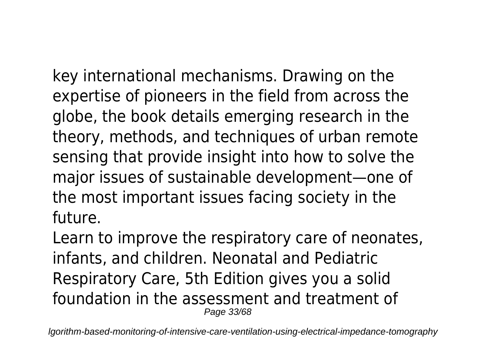key international mechanisms. Drawing on the expertise of pioneers in the field from across the globe, the book details emerging research in the theory, methods, and techniques of urban remote sensing that provide insight into how to solve the major issues of sustainable development—one of the most important issues facing society in the future.

Learn to improve the respiratory care of neonates, infants, and children. Neonatal and Pediatric Respiratory Care, 5th Edition gives you a solid foundation in the assessment and treatment of Page 33/68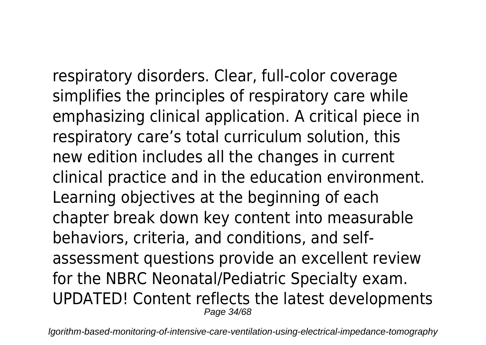respiratory disorders. Clear, full-color coverage simplifies the principles of respiratory care while emphasizing clinical application. A critical piece in respiratory care's total curriculum solution, this new edition includes all the changes in current clinical practice and in the education environment. Learning objectives at the beginning of each chapter break down key content into measurable behaviors, criteria, and conditions, and selfassessment questions provide an excellent review for the NBRC Neonatal/Pediatric Specialty exam. UPDATED! Content reflects the latest developments Page 34/68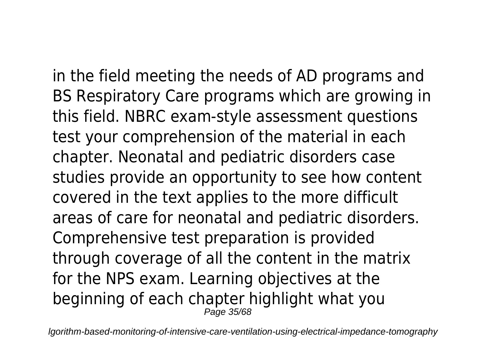in the field meeting the needs of AD programs and BS Respiratory Care programs which are growing in this field. NBRC exam-style assessment questions test your comprehension of the material in each chapter. Neonatal and pediatric disorders case studies provide an opportunity to see how content covered in the text applies to the more difficult areas of care for neonatal and pediatric disorders. Comprehensive test preparation is provided through coverage of all the content in the matrix for the NPS exam. Learning objectives at the beginning of each chapter highlight what you  $P$ age 35/68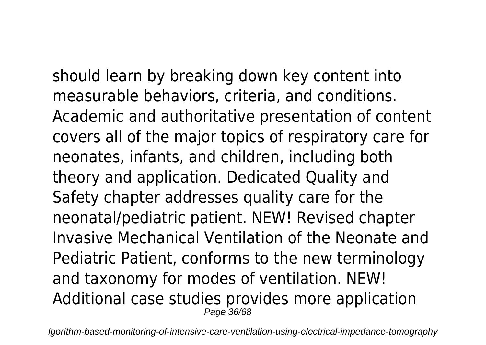should learn by breaking down key content into measurable behaviors, criteria, and conditions. Academic and authoritative presentation of content covers all of the major topics of respiratory care for neonates, infants, and children, including both theory and application. Dedicated Quality and Safety chapter addresses quality care for the neonatal/pediatric patient. NEW! Revised chapter Invasive Mechanical Ventilation of the Neonate and Pediatric Patient, conforms to the new terminology and taxonomy for modes of ventilation. NEW! Additional case studies provides more application Page 36/68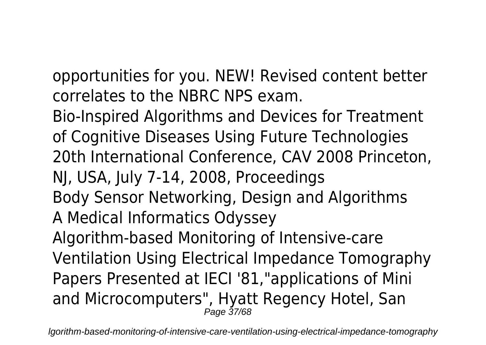opportunities for you. NEW! Revised content better correlates to the NBRC NPS exam.

Bio-Inspired Algorithms and Devices for Treatment of Cognitive Diseases Using Future Technologies 20th International Conference, CAV 2008 Princeton, NJ, USA, July 7-14, 2008, Proceedings Body Sensor Networking, Design and Algorithms A Medical Informatics Odyssey Algorithm-based Monitoring of Intensive-care Ventilation Using Electrical Impedance Tomography Papers Presented at IECI '81,"applications of Mini and Microcomputers", Hyatt Regency Hotel, San Page 37/68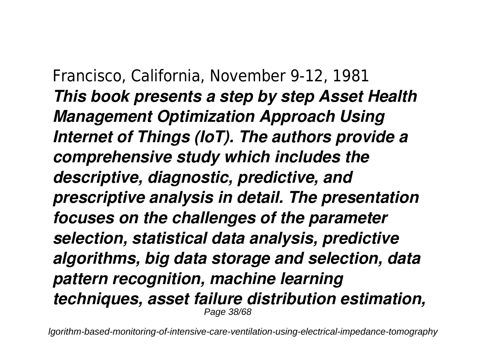Francisco, California, November 9-12, 1981 *This book presents a step by step Asset Health Management Optimization Approach Using Internet of Things (IoT). The authors provide a comprehensive study which includes the descriptive, diagnostic, predictive, and prescriptive analysis in detail. The presentation focuses on the challenges of the parameter selection, statistical data analysis, predictive algorithms, big data storage and selection, data pattern recognition, machine learning techniques, asset failure distribution estimation,* Page 38/68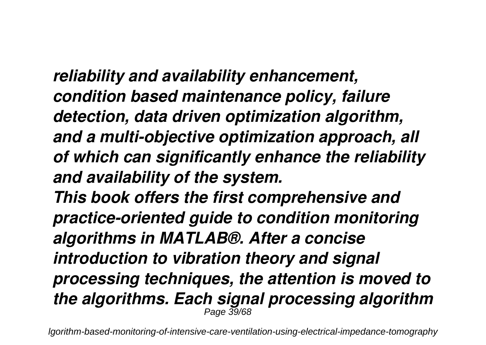*reliability and availability enhancement, condition based maintenance policy, failure detection, data driven optimization algorithm, and a multi-objective optimization approach, all of which can significantly enhance the reliability and availability of the system. This book offers the first comprehensive and practice-oriented guide to condition monitoring algorithms in MATLAB®. After a concise introduction to vibration theory and signal processing techniques, the attention is moved to the algorithms. Each signal processing algorithm* Page 39/68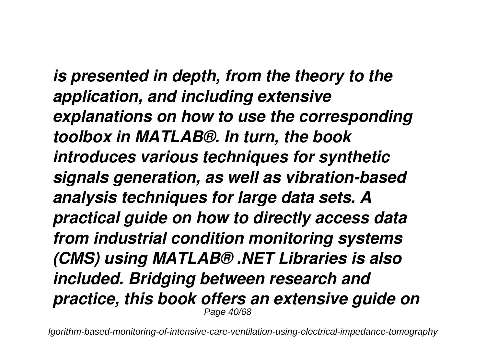*is presented in depth, from the theory to the application, and including extensive explanations on how to use the corresponding toolbox in MATLAB®. In turn, the book introduces various techniques for synthetic signals generation, as well as vibration-based analysis techniques for large data sets. A practical guide on how to directly access data from industrial condition monitoring systems (CMS) using MATLAB® .NET Libraries is also included. Bridging between research and practice, this book offers an extensive guide on* Page 40/68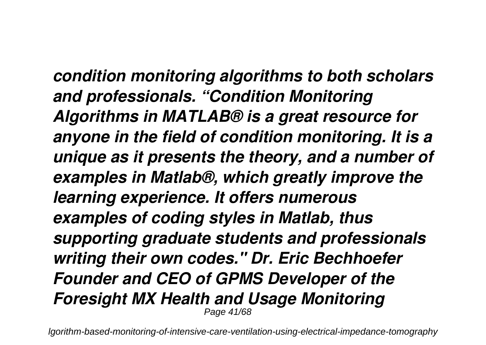*condition monitoring algorithms to both scholars and professionals. "Condition Monitoring Algorithms in MATLAB® is a great resource for anyone in the field of condition monitoring. It is a unique as it presents the theory, and a number of examples in Matlab®, which greatly improve the learning experience. It offers numerous examples of coding styles in Matlab, thus supporting graduate students and professionals writing their own codes." Dr. Eric Bechhoefer Founder and CEO of GPMS Developer of the Foresight MX Health and Usage Monitoring* Page 41/68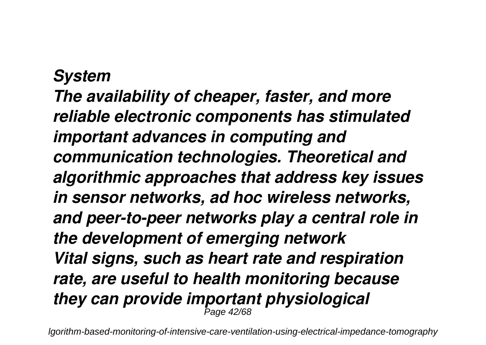## *System The availability of cheaper, faster, and more reliable electronic components has stimulated important advances in computing and communication technologies. Theoretical and algorithmic approaches that address key issues in sensor networks, ad hoc wireless networks, and peer-to-peer networks play a central role in the development of emerging network Vital signs, such as heart rate and respiration rate, are useful to health monitoring because they can provide important physiological* Page 42/68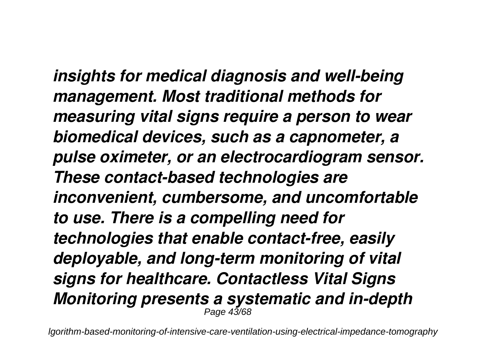*insights for medical diagnosis and well-being management. Most traditional methods for measuring vital signs require a person to wear biomedical devices, such as a capnometer, a pulse oximeter, or an electrocardiogram sensor. These contact-based technologies are inconvenient, cumbersome, and uncomfortable to use. There is a compelling need for technologies that enable contact-free, easily deployable, and long-term monitoring of vital signs for healthcare. Contactless Vital Signs Monitoring presents a systematic and in-depth* Page 43/68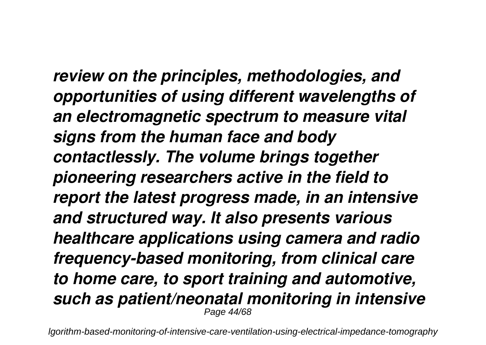*review on the principles, methodologies, and opportunities of using different wavelengths of an electromagnetic spectrum to measure vital signs from the human face and body contactlessly. The volume brings together pioneering researchers active in the field to report the latest progress made, in an intensive and structured way. It also presents various healthcare applications using camera and radio frequency-based monitoring, from clinical care to home care, to sport training and automotive, such as patient/neonatal monitoring in intensive* Page 44/68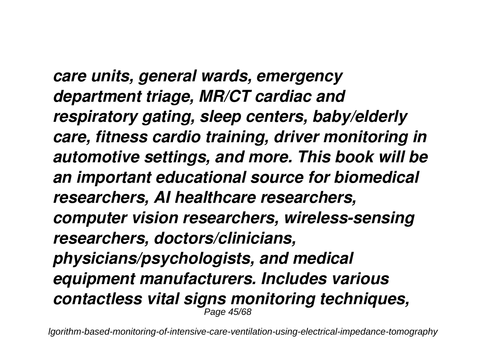*care units, general wards, emergency department triage, MR/CT cardiac and respiratory gating, sleep centers, baby/elderly care, fitness cardio training, driver monitoring in automotive settings, and more. This book will be an important educational source for biomedical researchers, AI healthcare researchers, computer vision researchers, wireless-sensing researchers, doctors/clinicians, physicians/psychologists, and medical equipment manufacturers. Includes various contactless vital signs monitoring techniques,* Page 45/68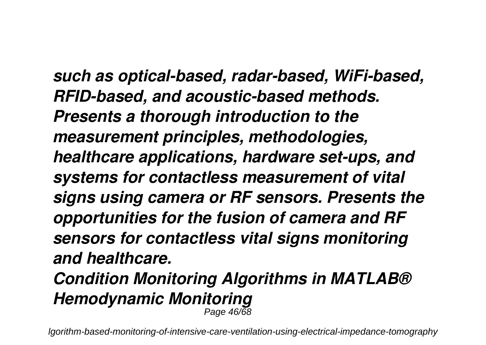*such as optical-based, radar-based, WiFi-based, RFID-based, and acoustic-based methods. Presents a thorough introduction to the measurement principles, methodologies, healthcare applications, hardware set-ups, and systems for contactless measurement of vital signs using camera or RF sensors. Presents the opportunities for the fusion of camera and RF sensors for contactless vital signs monitoring and healthcare. Condition Monitoring Algorithms in MATLAB® Hemodynamic Monitoring* Page 46/68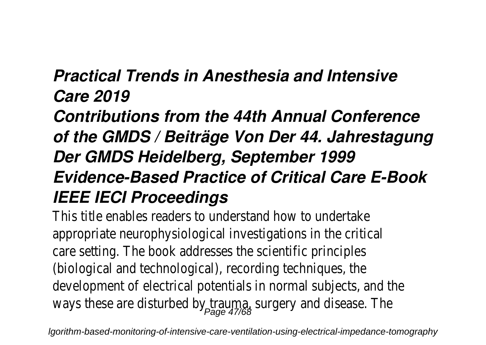## *Practical Trends in Anesthesia and Intensive Care 2019*

*Contributions from the 44th Annual Conference of the GMDS / Beiträge Von Der 44. Jahrestagung Der GMDS Heidelberg, September 1999 Evidence-Based Practice of Critical Care E-Book IEEE IECI Proceedings*

This title enables readers to understand how to undert appropriate neurophysiological investigations in the crit care setting. The book addresses the scientific princip (biological and technological), recording techniques, the development of electrical potentials in normal subjects, and ways these are disturbed by trauma, surgery and disease.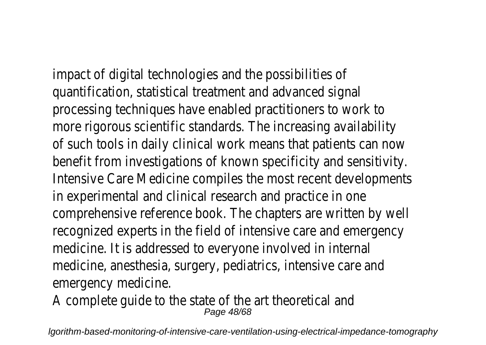impact of digital technologies and the possibilities quantification, statistical treatment and advanced signal processing techniques have enabled practitioners to work more rigorous scientific standards. The increasing availability of such tools in daily clinical work means that patients can a benefit from investigations of known specificity and sensitity Intensive Care Medicine compiles the most recent development in experimental and clinical research and practice in one comprehensive reference book. The chapters are written by recognized experts in the field of intensive care and emerge medicine. It is addressed to everyone involved in inter medicine, anesthesia, surgery, pediatrics, intensive care and emergency medicine

A complete quide to the state of the art theoretical Page 48/68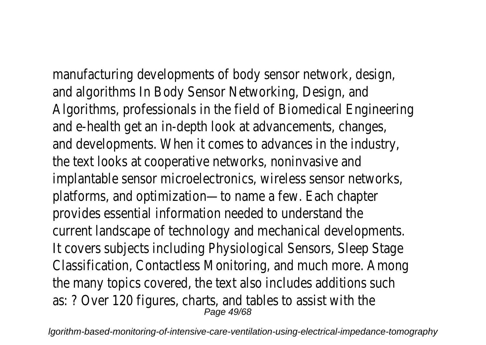manufacturing developments of body sensor network, des and algorithms In Body Sensor Networking, Design, and Algorithms, professionals in the field of Biomedical Engineer and e-health get an in-depth look at advancements, changes, and developments. When it comes to advances in the indus the text looks at cooperative networks, noninvasive implantable sensor microelectronics, wireless sensor networks platforms, and optimization—to name a few. Each chapter provides essential information needed to understand current landscape of technology and mechanical development It covers subjects including Physiological Sensors, Sleep Stage Classification, Contactless Monitoring, and much more. Amo the many topics covered, the text also includes additions s as: ? Over 120 figures, charts, and tables to assist with Page 49/68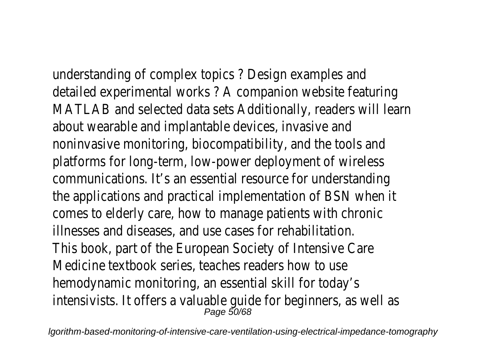understanding of complex topics ? Design examples a detailed experimental works ? A companion website featured MATLAB and selected data sets Additionally, readers will learn about wearable and implantable devices, invasive and noninvasive monitoring, biocompatibility, and the tools and platforms for long-term, low-power deployment of wirel communications. It's an essential resource for understand the applications and practical implementation of BSN whe comes to elderly care, how to manage patients with chronic illnesses and diseases, and use cases for rehabilitation. This book, part of the European Society of Intensive C Medicine textbook series, teaches readers how to use hemodynamic monitoring, an essential skill for toda intensivists. It offers a valuable guide for beginners, as we<br><sup>Page 50/68</sup>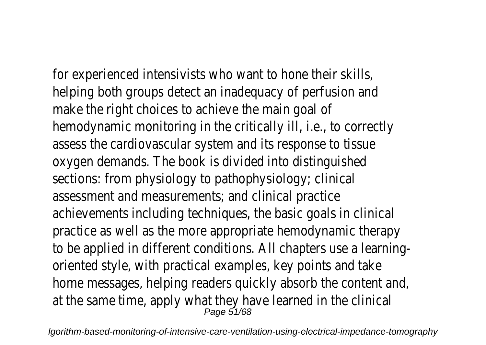for experienced intensivists who want to hone their sk helping both groups detect an inadequacy of perfusion and make the right choices to achieve the main goal hemodynamic monitoring in the critically ill, i.e., to corred assess the cardiovascular system and its response to tis oxygen demands. The book is divided into distinguish sections: from physiology to pathophysiology; clini assessment and measurements; and clinical practi achievements including techniques, the basic goals in clini practice as well as the more appropriate hemodynamic ther to be applied in different conditions. All chapters use a learn oriented style, with practical examples, key points and t home messages, helping readers quickly absorb the content  $\varepsilon$ at the same time, apply what they have learned in the cling Page 51/68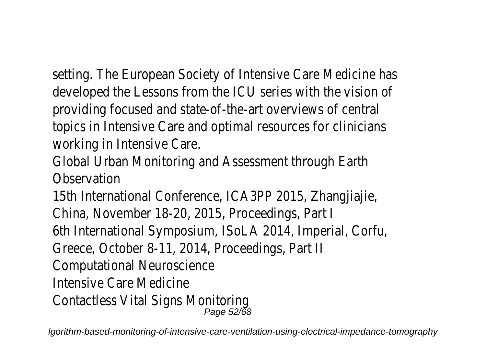setting. The European Society of Intensive Care Medicine has developed the Lessons from the ICU series with the vision providing focused and state-of-the-art overviews of cent topics in Intensive Care and optimal resources for clinicia working in Intensive Care

Global Urban Monitoring and Assessment through Earth **Observation** 

15th International Conference, ICA3PP 2015, Zhangjiaj China, November 18-20, 2015, Proceedings, Part 6th International Symposium, ISoLA 2014, Imperial, Cort Greece, October 8-11, 2014, Proceedings, Part Computational Neuroscience Intensive Care Medicine Contactless Vital Signs Monitoring Page 52/68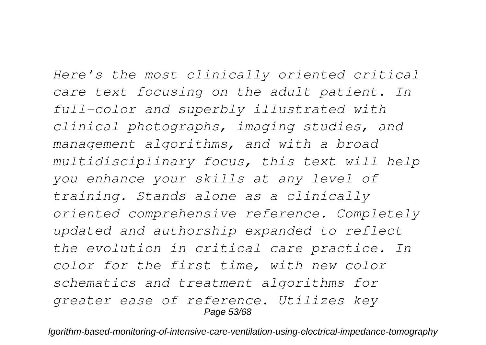*Here's the most clinically oriented critical care text focusing on the adult patient. In full-color and superbly illustrated with clinical photographs, imaging studies, and management algorithms, and with a broad multidisciplinary focus, this text will help you enhance your skills at any level of training. Stands alone as a clinically oriented comprehensive reference. Completely updated and authorship expanded to reflect the evolution in critical care practice. In color for the first time, with new color schematics and treatment algorithms for greater ease of reference. Utilizes key* Page 53/68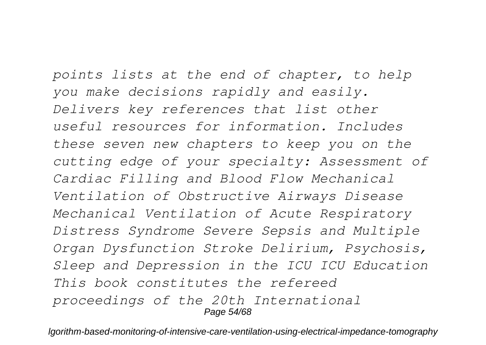*points lists at the end of chapter, to help you make decisions rapidly and easily. Delivers key references that list other useful resources for information. Includes these seven new chapters to keep you on the cutting edge of your specialty: Assessment of Cardiac Filling and Blood Flow Mechanical Ventilation of Obstructive Airways Disease Mechanical Ventilation of Acute Respiratory Distress Syndrome Severe Sepsis and Multiple Organ Dysfunction Stroke Delirium, Psychosis, Sleep and Depression in the ICU ICU Education This book constitutes the refereed proceedings of the 20th International* Page 54/68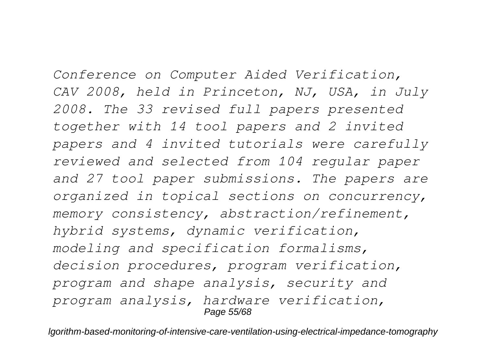*Conference on Computer Aided Verification, CAV 2008, held in Princeton, NJ, USA, in July 2008. The 33 revised full papers presented together with 14 tool papers and 2 invited papers and 4 invited tutorials were carefully reviewed and selected from 104 regular paper and 27 tool paper submissions. The papers are organized in topical sections on concurrency, memory consistency, abstraction/refinement, hybrid systems, dynamic verification, modeling and specification formalisms, decision procedures, program verification, program and shape analysis, security and program analysis, hardware verification,* Page 55/68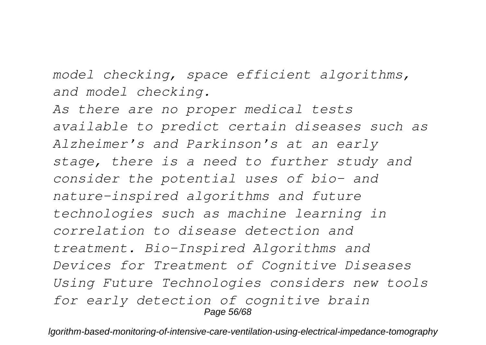*model checking, space efficient algorithms, and model checking.*

*As there are no proper medical tests available to predict certain diseases such as Alzheimer's and Parkinson's at an early stage, there is a need to further study and consider the potential uses of bio- and nature-inspired algorithms and future technologies such as machine learning in correlation to disease detection and treatment. Bio-Inspired Algorithms and Devices for Treatment of Cognitive Diseases Using Future Technologies considers new tools for early detection of cognitive brain* Page 56/68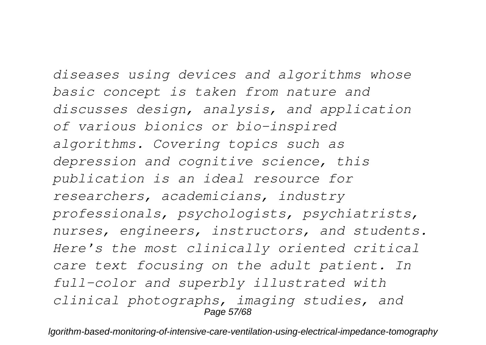*diseases using devices and algorithms whose basic concept is taken from nature and discusses design, analysis, and application of various bionics or bio-inspired algorithms. Covering topics such as depression and cognitive science, this publication is an ideal resource for researchers, academicians, industry professionals, psychologists, psychiatrists, nurses, engineers, instructors, and students. Here's the most clinically oriented critical care text focusing on the adult patient. In full-color and superbly illustrated with clinical photographs, imaging studies, and* Page 57/68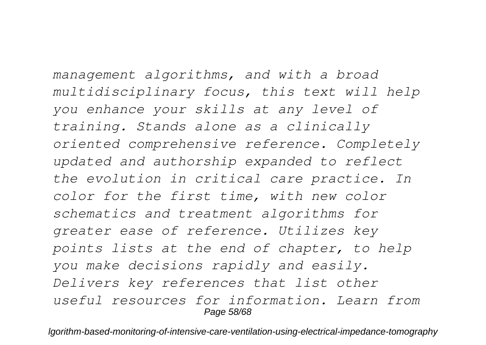*management algorithms, and with a broad multidisciplinary focus, this text will help you enhance your skills at any level of training. Stands alone as a clinically oriented comprehensive reference. Completely updated and authorship expanded to reflect the evolution in critical care practice. In color for the first time, with new color schematics and treatment algorithms for greater ease of reference. Utilizes key points lists at the end of chapter, to help you make decisions rapidly and easily. Delivers key references that list other useful resources for information. Learn from* Page 58/68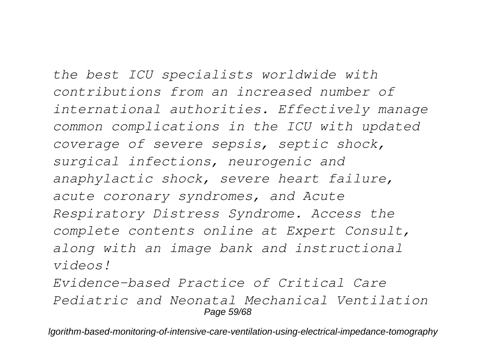*the best ICU specialists worldwide with contributions from an increased number of international authorities. Effectively manage common complications in the ICU with updated coverage of severe sepsis, septic shock, surgical infections, neurogenic and anaphylactic shock, severe heart failure, acute coronary syndromes, and Acute Respiratory Distress Syndrome. Access the complete contents online at Expert Consult, along with an image bank and instructional videos!*

*Evidence-based Practice of Critical Care Pediatric and Neonatal Mechanical Ventilation* Page 59/68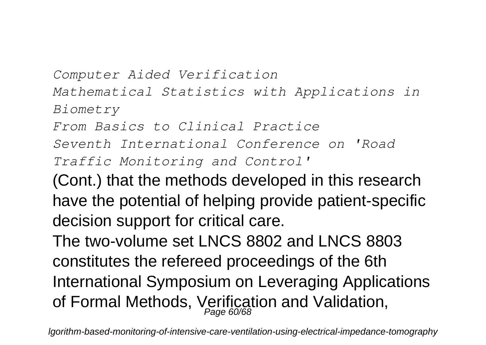*Computer Aided Verification Mathematical Statistics with Applications in Biometry*

*From Basics to Clinical Practice*

*Seventh International Conference on 'Road*

*Traffic Monitoring and Control'*

(Cont.) that the methods developed in this research have the potential of helping provide patient-specific decision support for critical care.

The two-volume set LNCS 8802 and LNCS 8803 constitutes the refereed proceedings of the 6th International Symposium on Leveraging Applications of Formal Methods, Verification and Validation,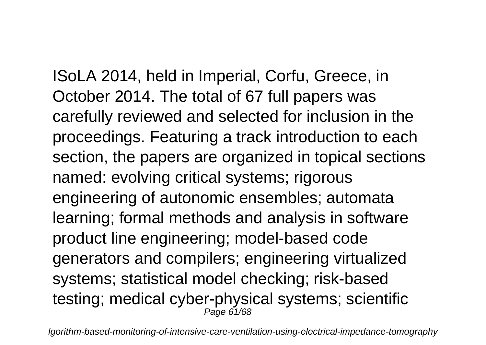ISoLA 2014, held in Imperial, Corfu, Greece, in October 2014. The total of 67 full papers was carefully reviewed and selected for inclusion in the proceedings. Featuring a track introduction to each section, the papers are organized in topical sections named: evolving critical systems; rigorous engineering of autonomic ensembles; automata learning; formal methods and analysis in software product line engineering; model-based code generators and compilers; engineering virtualized systems; statistical model checking; risk-based testing; medical cyber-physical systems; scientific  $P$ age 61/68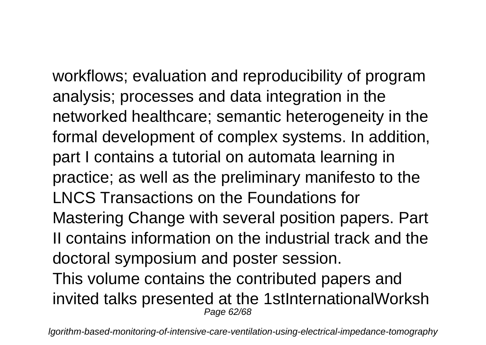workflows; evaluation and reproducibility of program analysis; processes and data integration in the networked healthcare; semantic heterogeneity in the formal development of complex systems. In addition, part I contains a tutorial on automata learning in practice; as well as the preliminary manifesto to the LNCS Transactions on the Foundations for Mastering Change with several position papers. Part II contains information on the industrial track and the doctoral symposium and poster session. This volume contains the contributed papers and invited talks presented at the 1stInternationalWorksh Page 62/68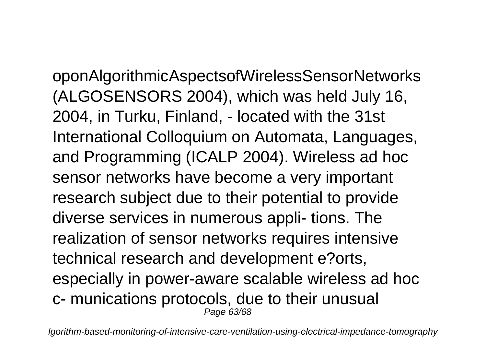oponAlgorithmicAspectsofWirelessSensorNetworks (ALGOSENSORS 2004), which was held July 16, 2004, in Turku, Finland, - located with the 31st International Colloquium on Automata, Languages, and Programming (ICALP 2004). Wireless ad hoc sensor networks have become a very important research subject due to their potential to provide diverse services in numerous appli- tions. The realization of sensor networks requires intensive technical research and development e?orts, especially in power-aware scalable wireless ad hoc c- munications protocols, due to their unusual Page 63/68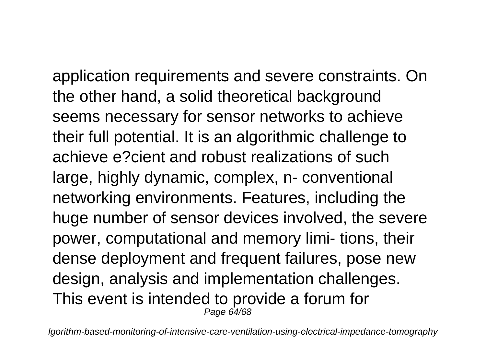application requirements and severe constraints. On the other hand, a solid theoretical background seems necessary for sensor networks to achieve their full potential. It is an algorithmic challenge to achieve e?cient and robust realizations of such large, highly dynamic, complex, n- conventional networking environments. Features, including the huge number of sensor devices involved, the severe power, computational and memory limi- tions, their dense deployment and frequent failures, pose new design, analysis and implementation challenges. This event is intended to provide a forum for Page 64/68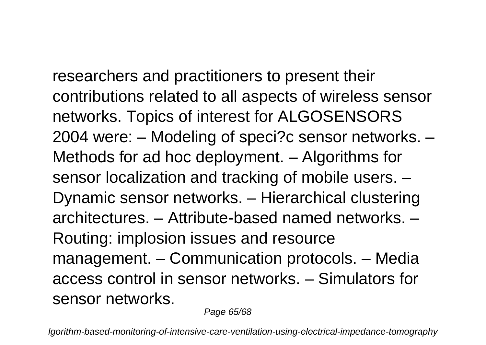researchers and practitioners to present their contributions related to all aspects of wireless sensor networks. Topics of interest for ALGOSENSORS 2004 were: – Modeling of speci?c sensor networks. – Methods for ad hoc deployment. - Algorithms for sensor localization and tracking of mobile users. – Dynamic sensor networks. – Hierarchical clustering architectures. – Attribute-based named networks. – Routing: implosion issues and resource management. – Communication protocols. – Media access control in sensor networks. – Simulators for sensor networks.

Page 65/68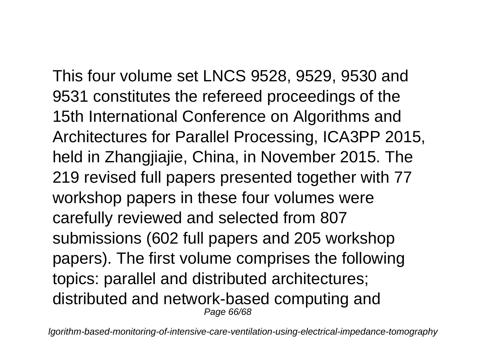This four volume set LNCS 9528, 9529, 9530 and 9531 constitutes the refereed proceedings of the 15th International Conference on Algorithms and Architectures for Parallel Processing, ICA3PP 2015, held in Zhangjiajie, China, in November 2015. The 219 revised full papers presented together with 77 workshop papers in these four volumes were carefully reviewed and selected from 807 submissions (602 full papers and 205 workshop papers). The first volume comprises the following topics: parallel and distributed architectures; distributed and network-based computing and Page 66/68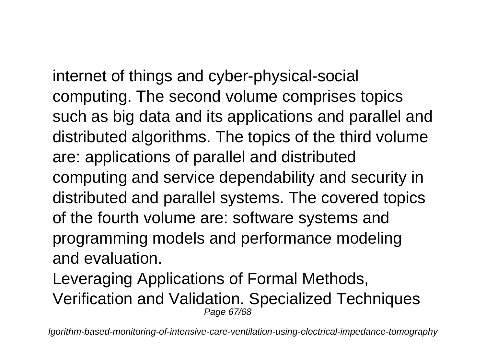internet of things and cyber-physical-social computing. The second volume comprises topics such as big data and its applications and parallel and distributed algorithms. The topics of the third volume are: applications of parallel and distributed computing and service dependability and security in distributed and parallel systems. The covered topics of the fourth volume are: software systems and programming models and performance modeling and evaluation.

Leveraging Applications of Formal Methods, Verification and Validation. Specialized Techniques Page 67/68